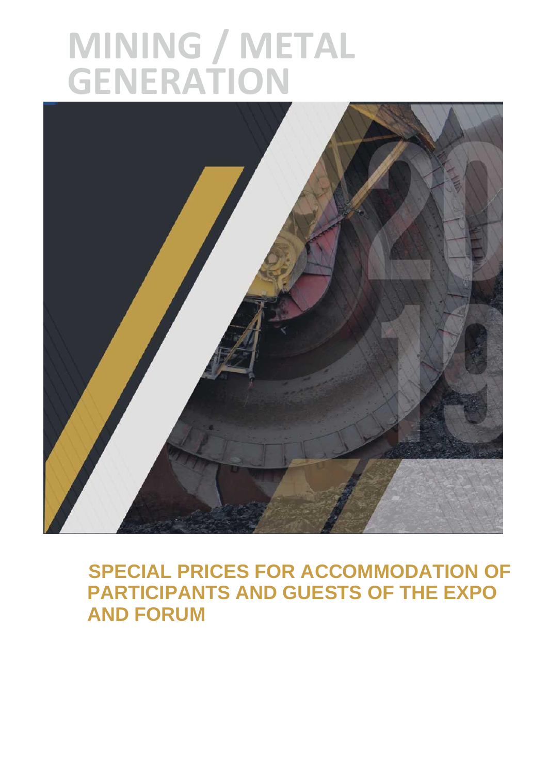# **MINING / METAL GENERATION**



## **SPECIAL PRICES FOR ACCOMMODATION OF PARTICIPANTS AND GUESTS OF THE EXPO AND FORUM**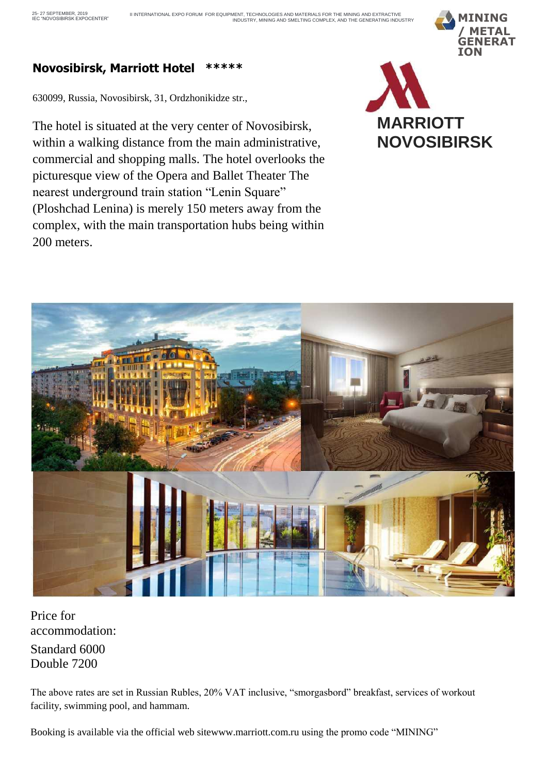

#### **Novosibirsk, Marriott Hotel \*\*\*\*\***

630099, Russia, Novosibirsk, 31, Ordzhonikidze str.,

The hotel is situated at the very center of Novosibirsk, within a walking distance from the main administrative, commercial and shopping malls. The hotel overlooks the picturesque view of the Opera and Ballet Theater The nearest underground train station "Lenin Square" (Ploshchad Lenina) is merely 150 meters away from the complex, with the main transportation hubs being within 200 meters.





Price for accommodation: Standard 6000 Double 7200

The above rates are set in Russian Rubles, 20% VAT inclusive, "smorgasbord" breakfast, services of workout facility, swimming pool, and hammam.

Booking is available via the official web sit[ewww.marriott.com.ru](quot;http:/www.marriott.com.ru") using the promo code "MINING"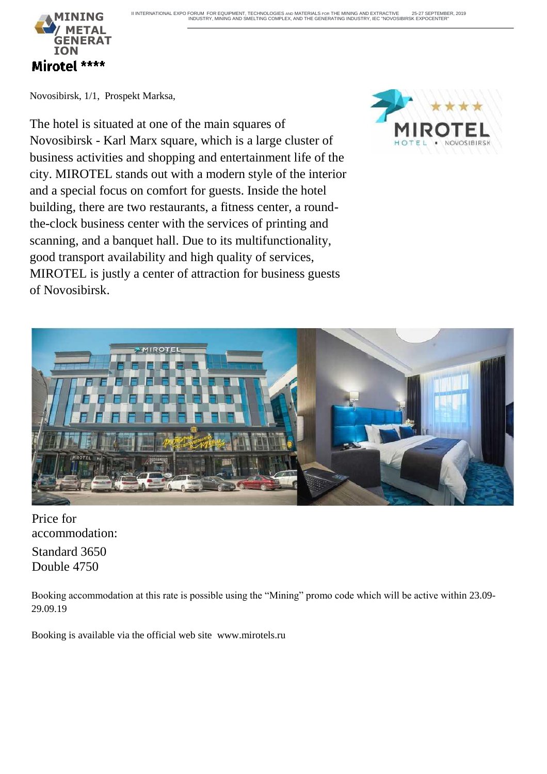

Novosibirsk, 1/1, Prospekt Marksa,

The hotel is situated at one of the main squares of Novosibirsk - Karl Marx square, which is a large cluster of business activities and shopping and entertainment life of the city. MIROTEL stands out with a modern style of the interior and a special focus on comfort for guests. Inside the hotel building, there are two restaurants, a fitness center, a roundthe-clock business center with the services of printing and scanning, and a banquet hall. Due to its multifunctionality, good transport availability and high quality of services, MIROTEL is justly a center of attraction for business guests of Novosibirsk.



Price for accommodation: Standard 3650

Double 4750

Booking accommodation at this rate is possible using the "Mining" promo code which will be active within 23.09- 29.09.19

Booking is available via the official web site [www.mirotels.ru](quot;http:/www.mirotels.ru")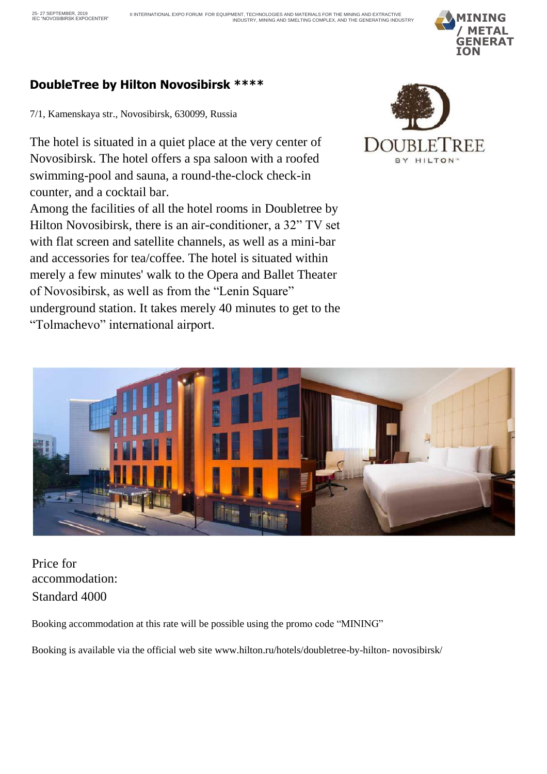

#### **DoubleTree by Hilton Novosibirsk \*\*\*\***

7/1, Kamenskaya str., Novosibirsk, 630099, Russia

The hotel is situated in a quiet place at the very center of Novosibirsk. The hotel offers a spa saloon with a roofed swimming-pool and sauna, a round-the-clock check-in counter, and a cocktail bar.

Among the facilities of all the hotel rooms in Doubletree by Hilton Novosibirsk, there is an air-conditioner, a 32" TV set with flat screen and satellite channels, as well as a mini-bar and accessories for tea/coffee. The hotel is situated within merely a few minutes' walk to the Opera and Ballet Theater of Novosibirsk, as well as from the "Lenin Square" underground station. It takes merely 40 minutes to get to the "Tolmachevo" international airport.





Price for accommodation: Standard 4000

Booking accommodation at this rate will be possible using the promo code "MINING"

Booking is available via the official web site [www.hilton.ru/hotels/doubletree-by-hilton-](quot;http:/www.hilton.ru/hotels/doubletree-by-hilton-novosibirsk/") novosibirsk/